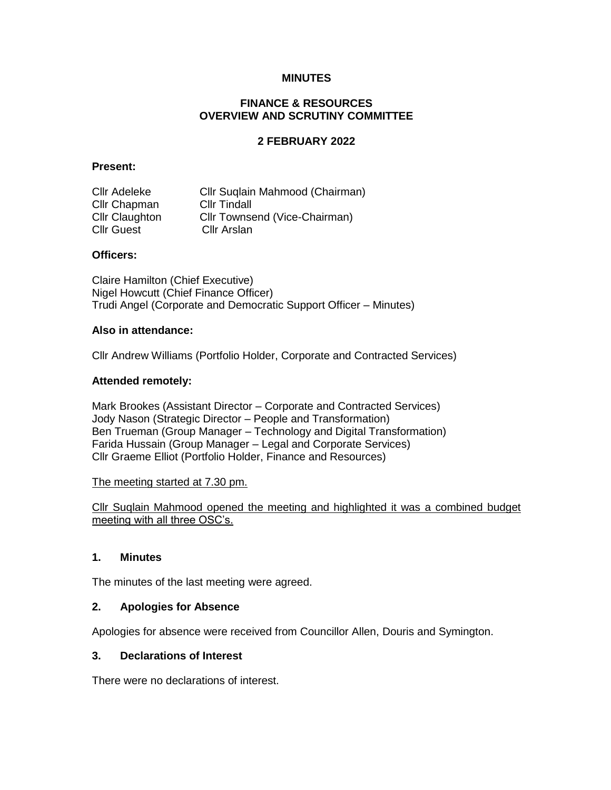## **MINUTES**

## **FINANCE & RESOURCES OVERVIEW AND SCRUTINY COMMITTEE**

## **2 FEBRUARY 2022**

### **Present:**

| <b>Cllr Adeleke</b>   | Cllr Suglain Mahmood (Chairman) |
|-----------------------|---------------------------------|
| Cllr Chapman          | <b>CIIr Tindall</b>             |
| <b>Cllr Claughton</b> | Cllr Townsend (Vice-Chairman)   |
| <b>Cllr Guest</b>     | Cllr Arslan                     |

## **Officers:**

Claire Hamilton (Chief Executive) Nigel Howcutt (Chief Finance Officer) Trudi Angel (Corporate and Democratic Support Officer – Minutes)

#### **Also in attendance:**

Cllr Andrew Williams (Portfolio Holder, Corporate and Contracted Services)

### **Attended remotely:**

Mark Brookes (Assistant Director – Corporate and Contracted Services) Jody Nason (Strategic Director – People and Transformation) Ben Trueman (Group Manager – Technology and Digital Transformation) Farida Hussain (Group Manager – Legal and Corporate Services) Cllr Graeme Elliot (Portfolio Holder, Finance and Resources)

### The meeting started at 7.30 pm.

Cllr Suqlain Mahmood opened the meeting and highlighted it was a combined budget meeting with all three OSC's.

### **1. Minutes**

The minutes of the last meeting were agreed.

### **2. Apologies for Absence**

Apologies for absence were received from Councillor Allen, Douris and Symington.

### **3. Declarations of Interest**

There were no declarations of interest.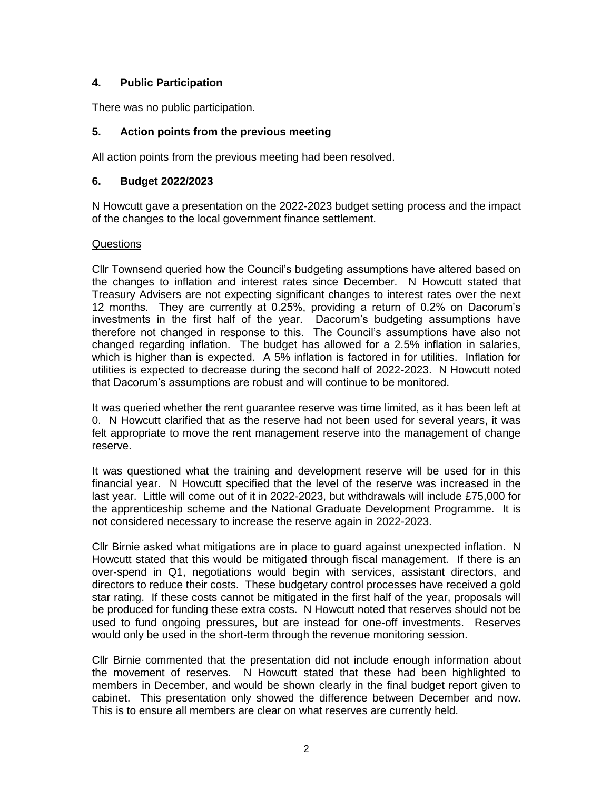# **4. Public Participation**

There was no public participation.

## **5. Action points from the previous meeting**

All action points from the previous meeting had been resolved.

## **6. Budget 2022/2023**

N Howcutt gave a presentation on the 2022-2023 budget setting process and the impact of the changes to the local government finance settlement.

## **Questions**

Cllr Townsend queried how the Council's budgeting assumptions have altered based on the changes to inflation and interest rates since December. N Howcutt stated that Treasury Advisers are not expecting significant changes to interest rates over the next 12 months. They are currently at 0.25%, providing a return of 0.2% on Dacorum's investments in the first half of the year. Dacorum's budgeting assumptions have therefore not changed in response to this. The Council's assumptions have also not changed regarding inflation. The budget has allowed for a 2.5% inflation in salaries, which is higher than is expected. A 5% inflation is factored in for utilities. Inflation for utilities is expected to decrease during the second half of 2022-2023. N Howcutt noted that Dacorum's assumptions are robust and will continue to be monitored.

It was queried whether the rent guarantee reserve was time limited, as it has been left at 0. N Howcutt clarified that as the reserve had not been used for several years, it was felt appropriate to move the rent management reserve into the management of change reserve.

It was questioned what the training and development reserve will be used for in this financial year. N Howcutt specified that the level of the reserve was increased in the last year. Little will come out of it in 2022-2023, but withdrawals will include £75,000 for the apprenticeship scheme and the National Graduate Development Programme. It is not considered necessary to increase the reserve again in 2022-2023.

Cllr Birnie asked what mitigations are in place to guard against unexpected inflation. N Howcutt stated that this would be mitigated through fiscal management. If there is an over-spend in Q1, negotiations would begin with services, assistant directors, and directors to reduce their costs. These budgetary control processes have received a gold star rating. If these costs cannot be mitigated in the first half of the year, proposals will be produced for funding these extra costs. N Howcutt noted that reserves should not be used to fund ongoing pressures, but are instead for one-off investments. Reserves would only be used in the short-term through the revenue monitoring session.

Cllr Birnie commented that the presentation did not include enough information about the movement of reserves. N Howcutt stated that these had been highlighted to members in December, and would be shown clearly in the final budget report given to cabinet. This presentation only showed the difference between December and now. This is to ensure all members are clear on what reserves are currently held.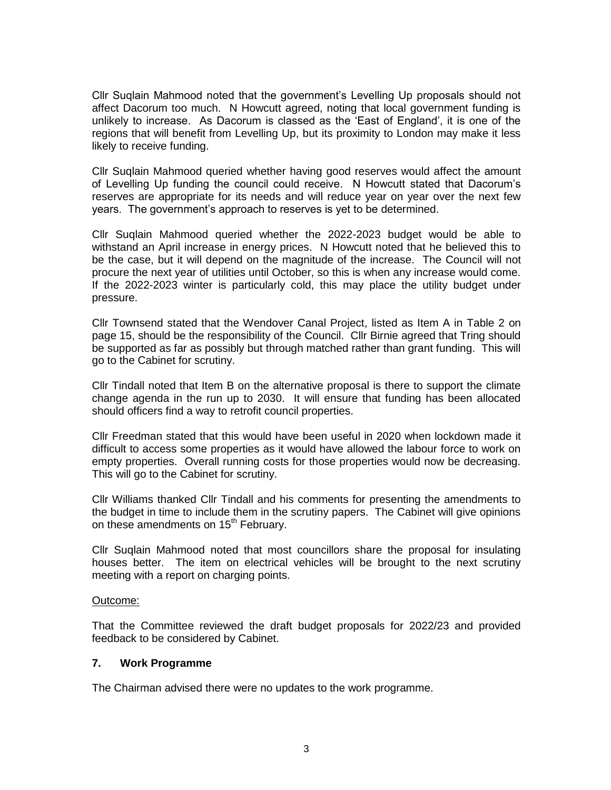Cllr Suqlain Mahmood noted that the government's Levelling Up proposals should not affect Dacorum too much. N Howcutt agreed, noting that local government funding is unlikely to increase. As Dacorum is classed as the 'East of England', it is one of the regions that will benefit from Levelling Up, but its proximity to London may make it less likely to receive funding.

Cllr Suqlain Mahmood queried whether having good reserves would affect the amount of Levelling Up funding the council could receive. N Howcutt stated that Dacorum's reserves are appropriate for its needs and will reduce year on year over the next few years. The government's approach to reserves is yet to be determined.

Cllr Suqlain Mahmood queried whether the 2022-2023 budget would be able to withstand an April increase in energy prices. N Howcutt noted that he believed this to be the case, but it will depend on the magnitude of the increase. The Council will not procure the next year of utilities until October, so this is when any increase would come. If the 2022-2023 winter is particularly cold, this may place the utility budget under pressure.

Cllr Townsend stated that the Wendover Canal Project, listed as Item A in Table 2 on page 15, should be the responsibility of the Council. Cllr Birnie agreed that Tring should be supported as far as possibly but through matched rather than grant funding. This will go to the Cabinet for scrutiny.

Cllr Tindall noted that Item B on the alternative proposal is there to support the climate change agenda in the run up to 2030. It will ensure that funding has been allocated should officers find a way to retrofit council properties.

Cllr Freedman stated that this would have been useful in 2020 when lockdown made it difficult to access some properties as it would have allowed the labour force to work on empty properties. Overall running costs for those properties would now be decreasing. This will go to the Cabinet for scrutiny.

Cllr Williams thanked Cllr Tindall and his comments for presenting the amendments to the budget in time to include them in the scrutiny papers. The Cabinet will give opinions on these amendments on 15<sup>th</sup> February.

Cllr Suqlain Mahmood noted that most councillors share the proposal for insulating houses better. The item on electrical vehicles will be brought to the next scrutiny meeting with a report on charging points.

### Outcome:

That the Committee reviewed the draft budget proposals for 2022/23 and provided feedback to be considered by Cabinet.

### **7. Work Programme**

The Chairman advised there were no updates to the work programme.